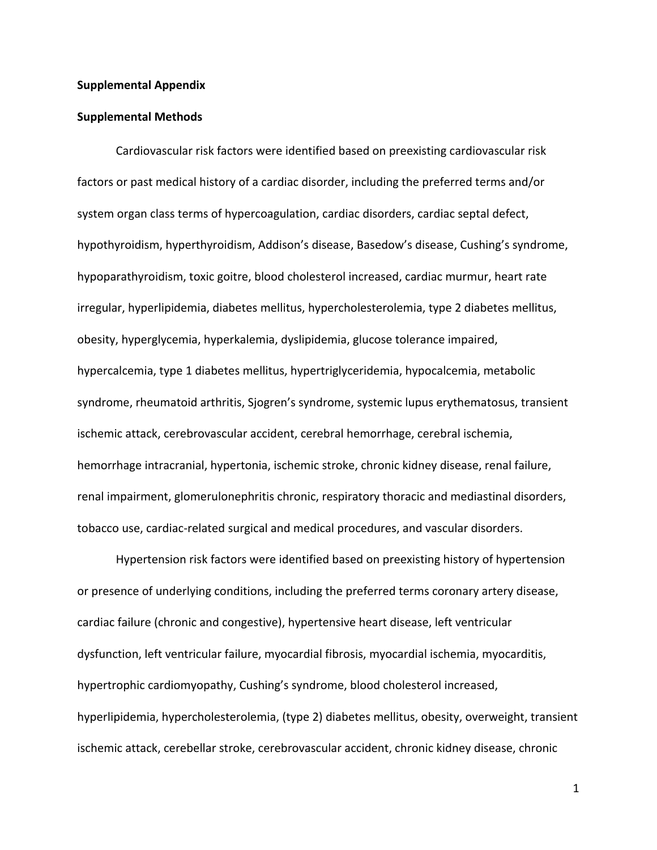#### **Supplemental Appendix**

#### **Supplemental Methods**

Cardiovascular risk factors were identified based on preexisting cardiovascular risk factors or past medical history of a cardiac disorder, including the preferred terms and/or system organ class terms of hypercoagulation, cardiac disorders, cardiac septal defect, hypothyroidism, hyperthyroidism, Addison's disease, Basedow's disease, Cushing's syndrome, hypoparathyroidism, toxic goitre, blood cholesterol increased, cardiac murmur, heart rate irregular, hyperlipidemia, diabetes mellitus, hypercholesterolemia, type 2 diabetes mellitus, obesity, hyperglycemia, hyperkalemia, dyslipidemia, glucose tolerance impaired, hypercalcemia, type 1 diabetes mellitus, hypertriglyceridemia, hypocalcemia, metabolic syndrome, rheumatoid arthritis, Sjogren's syndrome, systemic lupus erythematosus, transient ischemic attack, cerebrovascular accident, cerebral hemorrhage, cerebral ischemia, hemorrhage intracranial, hypertonia, ischemic stroke, chronic kidney disease, renal failure, renal impairment, glomerulonephritis chronic, respiratory thoracic and mediastinal disorders, tobacco use, cardiac-related surgical and medical procedures, and vascular disorders.

Hypertension risk factors were identified based on preexisting history of hypertension or presence of underlying conditions, including the preferred terms coronary artery disease, cardiac failure (chronic and congestive), hypertensive heart disease, left ventricular dysfunction, left ventricular failure, myocardial fibrosis, myocardial ischemia, myocarditis, hypertrophic cardiomyopathy, Cushing's syndrome, blood cholesterol increased, hyperlipidemia, hypercholesterolemia, (type 2) diabetes mellitus, obesity, overweight, transient ischemic attack, cerebellar stroke, cerebrovascular accident, chronic kidney disease, chronic

1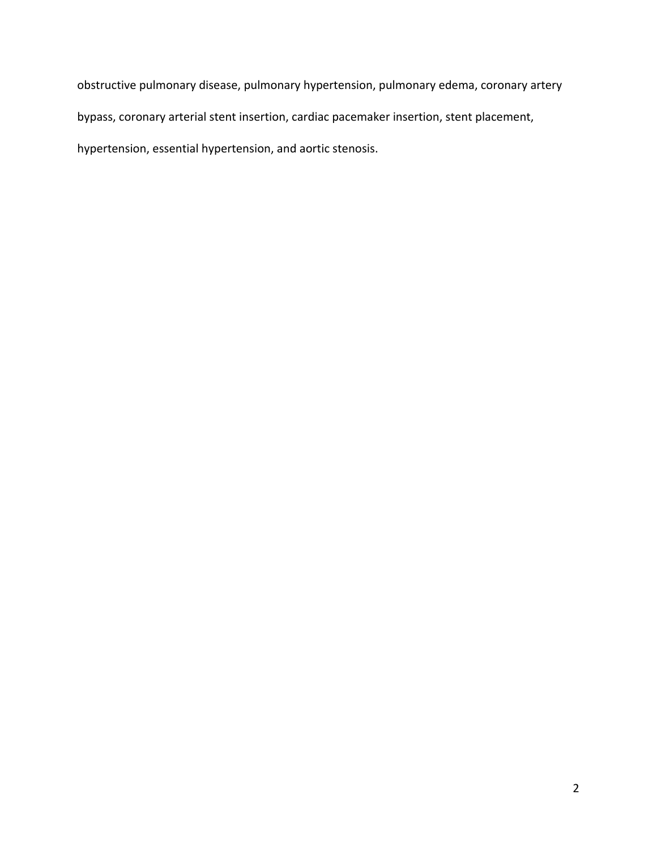obstructive pulmonary disease, pulmonary hypertension, pulmonary edema, coronary artery bypass, coronary arterial stent insertion, cardiac pacemaker insertion, stent placement, hypertension, essential hypertension, and aortic stenosis.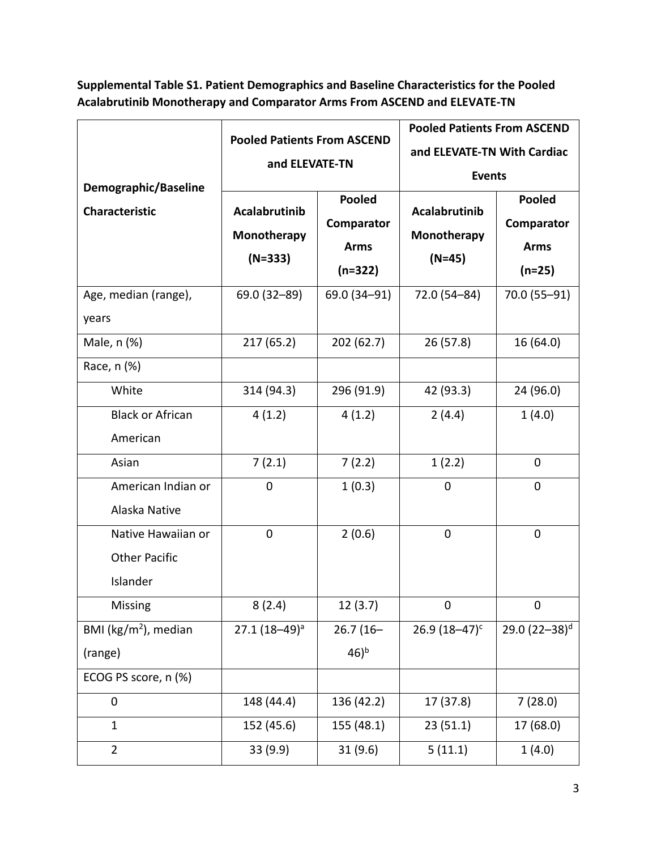**Supplemental Table S1. Patient Demographics and Baseline Characteristics for the Pooled Acalabrutinib Monotherapy and Comparator Arms From ASCEND and ELEVATE-TN**

|                                               | <b>Pooled Patients From ASCEND</b><br>and ELEVATE-TN |               | <b>Pooled Patients From ASCEND</b> |                           |
|-----------------------------------------------|------------------------------------------------------|---------------|------------------------------------|---------------------------|
|                                               |                                                      |               | and ELEVATE-TN With Cardiac        |                           |
|                                               |                                                      |               | <b>Events</b>                      |                           |
| Demographic/Baseline<br><b>Characteristic</b> |                                                      | <b>Pooled</b> | Acalabrutinib                      | <b>Pooled</b>             |
|                                               | <b>Acalabrutinib</b>                                 | Comparator    |                                    | Comparator                |
|                                               | Monotherapy                                          | <b>Arms</b>   | Monotherapy                        | <b>Arms</b>               |
|                                               | $(N=333)$                                            | $(n=322)$     | $(N=45)$                           | $(n=25)$                  |
| Age, median (range),                          | 69.0 (32-89)                                         | 69.0 (34-91)  | 72.0 (54-84)                       | 70.0 (55-91)              |
| years                                         |                                                      |               |                                    |                           |
| Male, n (%)                                   | 217 (65.2)                                           | 202 (62.7)    | 26(57.8)                           | 16 (64.0)                 |
| Race, n (%)                                   |                                                      |               |                                    |                           |
| White                                         | 314 (94.3)                                           | 296 (91.9)    | 42 (93.3)                          | 24 (96.0)                 |
| <b>Black or African</b>                       | 4(1.2)                                               | 4(1.2)        | 2(4.4)                             | 1(4.0)                    |
| American                                      |                                                      |               |                                    |                           |
| Asian                                         | 7(2.1)                                               | 7(2.2)        | 1(2.2)                             | $\mathbf 0$               |
| American Indian or                            | 0                                                    | 1(0.3)        | $\overline{0}$                     | $\mathbf 0$               |
| Alaska Native                                 |                                                      |               |                                    |                           |
| Native Hawaiian or                            | 0                                                    | 2(0.6)        | 0                                  | $\mathbf 0$               |
| <b>Other Pacific</b>                          |                                                      |               |                                    |                           |
| Islander                                      |                                                      |               |                                    |                           |
| Missing                                       | 8(2.4)                                               | 12(3.7)       | 0                                  | $\mathbf 0$               |
| BMI (kg/m <sup>2</sup> ), median              | $27.1(18-49)^a$                                      | $26.7(16 -$   | $26.9(18-47)^c$                    | 29.0 (22-38) <sup>d</sup> |
| (range)                                       |                                                      | $(46)^{b}$    |                                    |                           |
| ECOG PS score, n (%)                          |                                                      |               |                                    |                           |
| 0                                             | 148 (44.4)                                           | 136 (42.2)    | 17 (37.8)                          | 7(28.0)                   |
| $\mathbf{1}$                                  | 152 (45.6)                                           | 155 (48.1)    | 23(51.1)                           | 17 (68.0)                 |
| $\overline{2}$                                | 33 (9.9)                                             | 31 (9.6)      | 5(11.1)                            | 1(4.0)                    |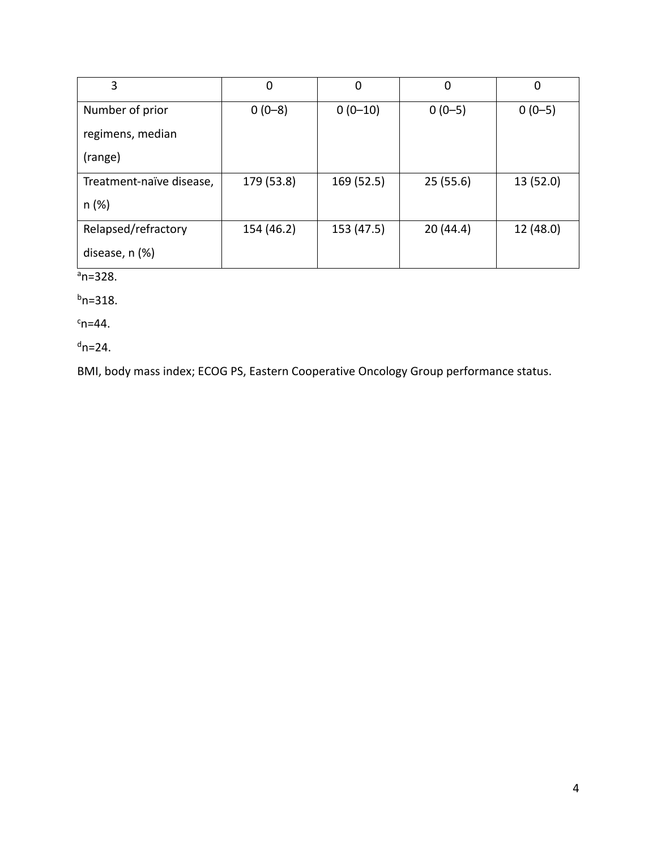| 3                        | 0          | 0          | 0        | 0         |
|--------------------------|------------|------------|----------|-----------|
| Number of prior          | $0(0-8)$   | $0(0-10)$  | $0(0-5)$ | $0(0-5)$  |
| regimens, median         |            |            |          |           |
| (range)                  |            |            |          |           |
| Treatment-naïve disease, | 179 (53.8) | 169 (52.5) | 25(55.6) | 13 (52.0) |
| n (%)                    |            |            |          |           |
| Relapsed/refractory      | 154 (46.2) | 153 (47.5) | 20(44.4) | 12 (48.0) |
| disease, n (%)           |            |            |          |           |

 $a_n=328$ .

 $b$ n=318.

 $c_{n=44}$ .

 $d$ n=24.

BMI, body mass index; ECOG PS, Eastern Cooperative Oncology Group performance status.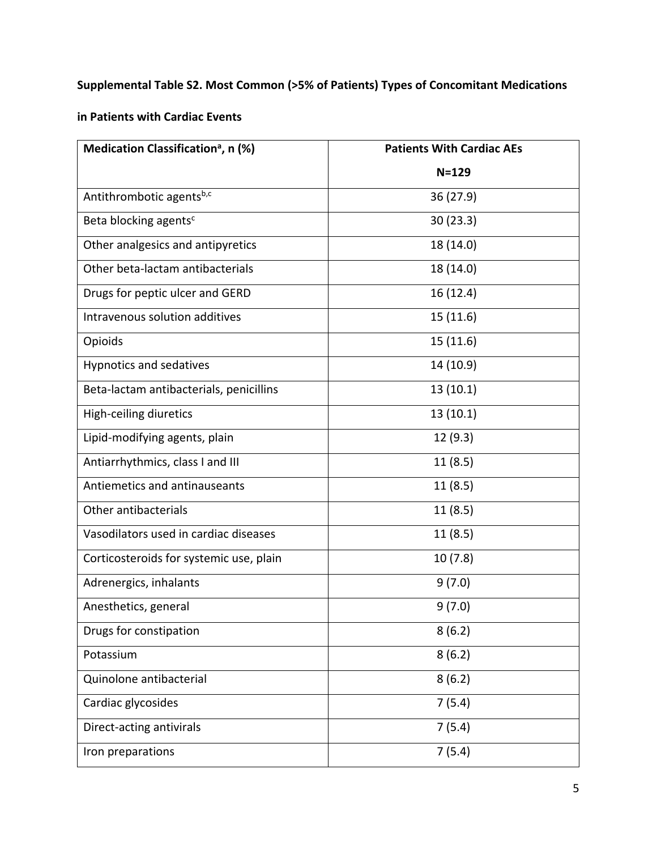# **Supplemental Table S2. Most Common (>5% of Patients) Types of Concomitant Medications**

## **in Patients with Cardiac Events**

| Medication Classification <sup>a</sup> , n (%) | <b>Patients With Cardiac AEs</b> |
|------------------------------------------------|----------------------------------|
|                                                | $N = 129$                        |
| Antithrombotic agentsb,c                       | 36(27.9)                         |
| Beta blocking agents <sup>c</sup>              | 30(23.3)                         |
| Other analgesics and antipyretics              | 18 (14.0)                        |
| Other beta-lactam antibacterials               | 18 (14.0)                        |
| Drugs for peptic ulcer and GERD                | 16 (12.4)                        |
| Intravenous solution additives                 | 15 (11.6)                        |
| Opioids                                        | 15 (11.6)                        |
| Hypnotics and sedatives                        | 14 (10.9)                        |
| Beta-lactam antibacterials, penicillins        | 13(10.1)                         |
| High-ceiling diuretics                         | 13(10.1)                         |
| Lipid-modifying agents, plain                  | 12(9.3)                          |
| Antiarrhythmics, class I and III               | 11(8.5)                          |
| Antiemetics and antinauseants                  | 11(8.5)                          |
| Other antibacterials                           | 11(8.5)                          |
| Vasodilators used in cardiac diseases          | 11(8.5)                          |
| Corticosteroids for systemic use, plain        | 10(7.8)                          |
| Adrenergics, inhalants                         | 9(7.0)                           |
| Anesthetics, general                           | 9(7.0)                           |
| Drugs for constipation                         | 8(6.2)                           |
| Potassium                                      | 8(6.2)                           |
| Quinolone antibacterial                        | 8(6.2)                           |
| Cardiac glycosides                             | 7(5.4)                           |
| Direct-acting antivirals                       | 7(5.4)                           |
| Iron preparations                              | 7(5.4)                           |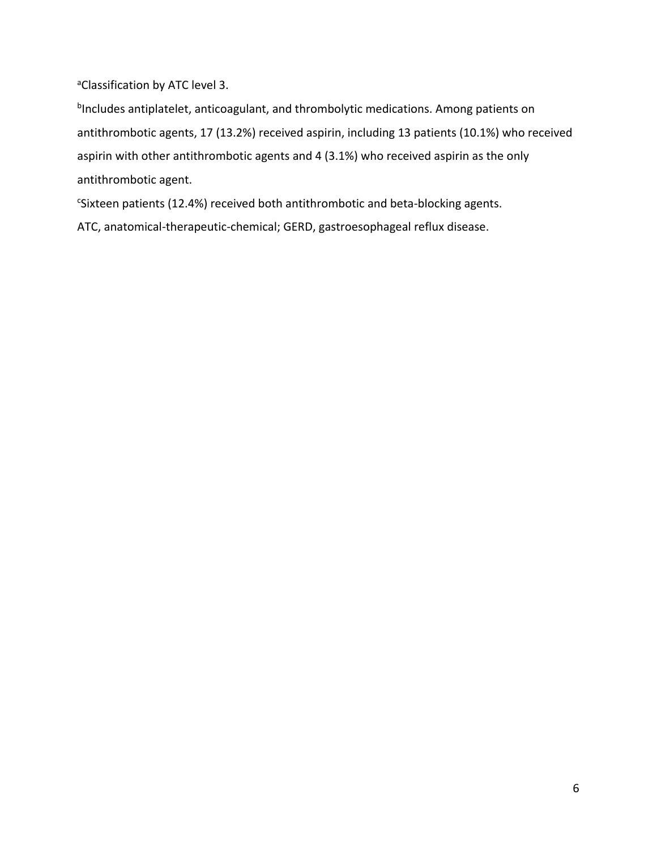aClassification by ATC level 3.

<sup>b</sup>Includes antiplatelet, anticoagulant, and thrombolytic medications. Among patients on antithrombotic agents, 17 (13.2%) received aspirin, including 13 patients (10.1%) who received aspirin with other antithrombotic agents and 4 (3.1%) who received aspirin as the only antithrombotic agent.

<sup>c</sup>Sixteen patients (12.4%) received both antithrombotic and beta-blocking agents.

ATC, anatomical-therapeutic-chemical; GERD, gastroesophageal reflux disease.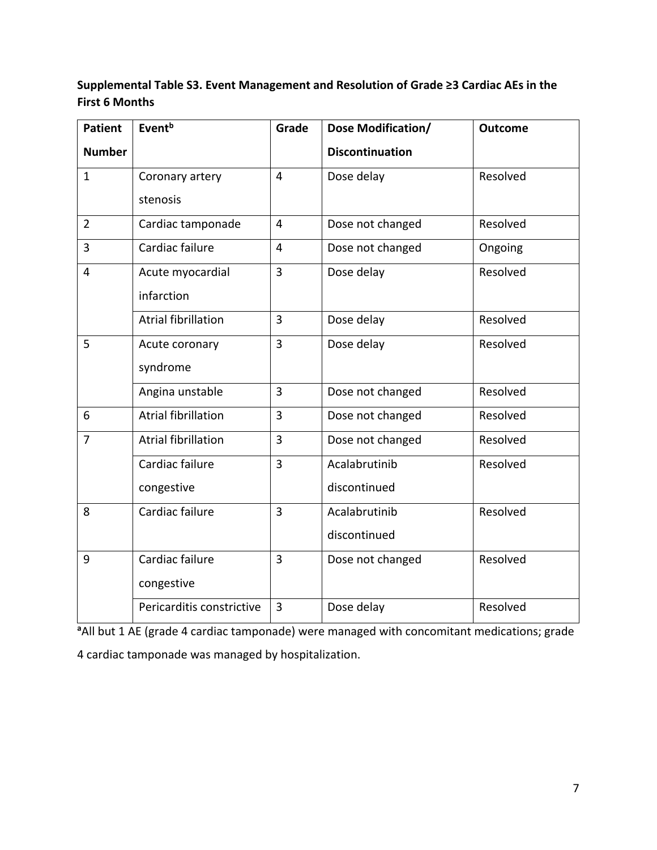## **Supplemental Table S3. Event Management and Resolution of Grade ≥3 Cardiac AEs in the First 6 Months**

| <b>Patient</b> | Event <sup>b</sup>         | Grade          | Dose Modification/     | <b>Outcome</b> |
|----------------|----------------------------|----------------|------------------------|----------------|
| <b>Number</b>  |                            |                | <b>Discontinuation</b> |                |
| $\mathbf{1}$   | Coronary artery            | $\overline{4}$ | Dose delay             | Resolved       |
|                | stenosis                   |                |                        |                |
| $\overline{2}$ | Cardiac tamponade          | $\overline{4}$ | Dose not changed       | Resolved       |
| 3              | Cardiac failure            | 4              | Dose not changed       | Ongoing        |
| 4              | Acute myocardial           | $\overline{3}$ | Dose delay             | Resolved       |
|                | infarction                 |                |                        |                |
|                | <b>Atrial fibrillation</b> | $\overline{3}$ | Dose delay             | Resolved       |
| 5              | Acute coronary             | $\overline{3}$ | Dose delay             | Resolved       |
|                | syndrome                   |                |                        |                |
|                | Angina unstable            | 3              | Dose not changed       | Resolved       |
| 6              | <b>Atrial fibrillation</b> | 3              | Dose not changed       | Resolved       |
| $\overline{7}$ | <b>Atrial fibrillation</b> | $\overline{3}$ | Dose not changed       | Resolved       |
|                | Cardiac failure            | 3              | Acalabrutinib          | Resolved       |
|                | congestive                 |                | discontinued           |                |
| 8              | Cardiac failure            | $\overline{3}$ | Acalabrutinib          | Resolved       |
|                |                            |                | discontinued           |                |
| 9              | Cardiac failure            | $\overline{3}$ | Dose not changed       | Resolved       |
|                | congestive                 |                |                        |                |
|                | Pericarditis constrictive  | 3              | Dose delay             | Resolved       |

<sup>a</sup>All but 1 AE (grade 4 cardiac tamponade) were managed with concomitant medications; grade 4 cardiac tamponade was managed by hospitalization.